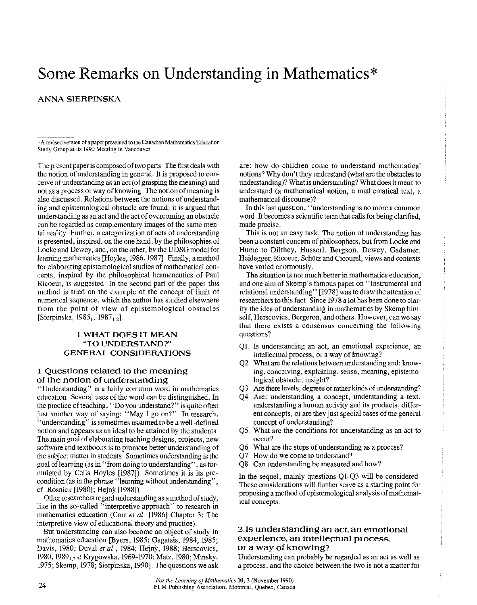# Some Remarks on Understanding in Mathematics\*

ANNA SIERPINSKA

\*A revised version of a paper presented to the Canadian Mathematics Education Study Group at its 1990 Meeting in Vancouver

The present paper is composed of two parts The first deals with the notion of understanding in generaL It is proposed to conceive of understanding as an act (of grasping the meaning) and not as a process or way of knowing The notion of meaning is also discussed. Relations between the notions of understanding and epistemological obstacle are found; it is argued that understanding as an act and the act of overcoming an obstacle can be regarded as complementary images of the same mental reality Further, a categorization of acts of understanding is presented, inspired, on the one hand, by the philosophies of Locke and Dewey, and, on the other, by the UDSG model for learning mathematics [Hayles, 1986, 1987] Finally, a method for elaborating epistemological studies of mathematical concepts, inspired by the philosophical hermeneutics of Paul Ricoeur, is suggested In the second part of the paper this method is tried on the example of the concept of limit of numerical sequence, which the author has studied elsewhere from the point of view of epistemological obstacles [Sierpinska, 1985<sub>1</sub>, 1987<sub>12</sub>]

# I WHAT DOES IT MEAN "TO UNDERSTAND?" GENERAL CONSIDERATIONS

# 1 . Questions related to the meaning of the notion of under standing

"Understanding" is a fairly common word in mathematics education. Several uses of the word can be distinguished. In the practice of teaching, "Do you understand?" is quite often just another way of saying: "May I go on?" In research, ''understanding'' is sometimes assumed to be a well -defined notion and appears as an ideal to be attained by the students The main goal of elaborating teaching designs, projects, new software and textbooks is to promote better understanding of the subject matter in students Sometimes understanding is the goal of learning (as in "from doing to understanding", as formulated by Celia Hoyles [1987]). Sometimes it is its precondition (as in the phrase ''learning without understanding'', cf. Rasnick [1980]; Hejny [1988])

Other researchers regard understanding as a method of study, like in the so-called "interpretive approach" to research in mathematics education (Carr *et al.* [1986] Chapter 3: The interpretive view of educational theory and practice).

But understanding can also become an object of study in mathematics education [Byers, 1985; Gagatsis, 1984, 1985; Davis, 1980; Duval *et al,* 1984; Hejny, 1988; Herscovics, 1980, 1989<sub>1,23</sub>; Krygowska, 1969-1970; Matz, 1980; Minsky, 1975; Skemp, 1978; Sierpinska, 1990] The questions we ask are: how do children come to understand mathematical notions? Why don't they understand (what are the obstacles to understanding)? What is understanding? What does it mean to understand (a mathematical notion, a mathematical text, a mathematical discourse)?

In this last question, ''understanding is no more a common word. It becomes a scientific term that calls for being clarified, made precise

This is not an easy task.. The notion of understanding has been a constant concern of philosophers, but from Locke and Hume to Dilthey, Husserl, Bergson, Dewey, Gadamer, Heidegger, Ricoeur, Schütz and Cicourel, views and contexts have varied enormously.

The situation is not much better in mathematics education, and one aim of Skemp's famous paper on ''Instrumental and relational understanding" [1978] was to draw the attention of researchers to this fact. Since 1978 a lot has been done to clarify the idea of understanding in mathematics by Skemp himself, Herscovics, Bergeron, and others. However, can we say that there exists a consensus concerning the following questions?

- Ql Is understanding an act, an emotional experience, an intellectual process, or a way of knowing?
- Q2 What are the relations between understanding and: knowing, conceiving, explaining, sense, meaning, epistemological obstacle, insight?
- Q3 Are there levels, degrees or rather kinds of understanding?
- Q4 Are: understanding a concept, understanding a text, understanding a human activity and its products, different concepts, or are they just special cases of the general concept of understanding?
- Q5 What are the conditions for understanding as an act to occur?
- Q6 What are the steps of understanding as a process?
- Q7 How do we come to understand?
- Q8 Can understanding be measured and how?

In the sequel, mainly questions Q1-Q3 will be considered These considerations will further serve as a starting point for proposing a method of epistemological analysis of mathematical concepts.

# 2. Is under standing an act, an emotional experience, an intellectual process, or a way of knowing?

Understanding can probably be regarded as an act as well as a process, and the choice between the two is not a matter for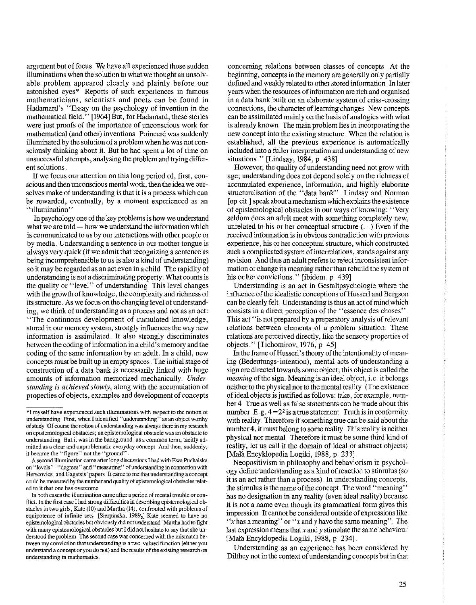argument but of focus We have all experienced those sudden illuminations when the solution to what we thought an unsolvable problem appeared clearly and plainly before our astonished eyes\* Reports of such experiences in famous mathematicians, scientists and poets can be found in Hadamard's "Essay on the psychology of invention in the mathematical field." [1964] But, for Hadamard, these stories were just proofs of the importance of unconscious work for mathematical (and other) inventions Poincaré was suddenly illuminated by the solution of a problem when he was not consciously thinking about it. But he had spent a lot of time on unsuccessful attempts, analysing the problem and ttying different solutions

If we focus our attention on this long period of, first, conscious and then unconscious mental work, then the idea we ourselves make of understanding is that it is a process which can be rewarded, eventually, by a moment experienced as an ''illumination''

In psychology one of the key problems is how we understand what we are told  $-$  how we understand the information which is communicated to us by our interactions with other people or by media Understanding a sentence in our mother tongue is always very quick (if we admit that recognizing a sentence as being incomprehensible to us is also a kind of understanding) so it may be regarded as an act even in a child The rapidity of understanding is not a discriminating property. What counts is the quality or "level" of understanding. This level changes with the growth of knowledge, the complexity and richness of its structure. As we focus on the changing level of understanding, we think of understanding as a process and not as an act: "The continuous development of cumulated knowledge, stored in our memory system, strongly influences the way new information is assimilated. It also strongly discriminates between the coding of information in a child's memory and the coding of the same information by an adult. In a child, new concepts must be built up in empty spaces . The initial stage of construction of a data bank is necessarily linked with huge amounts of information memorized mechanically *Understanding is achieved slowly,* along with the accumulation of properties of objects, examples and development of concepts concerning relations between classes of concepts At the beginning, concepts in the memory are generally only partially defined and weakly related to other stored information. In later years when the resources of information are rich and organised in a data bank built on an elaborate system of criss-crossing connections, the character of learning changes New concepts can be assimilated mainly on the basis of analogies with what is already known. *The* main problem lies in incorporating the new concept into the existing structure When the relation is established, all the previous experience is automatically included into a fuller interpretation and understanding of new situations " [Lindsay, 1984, p 438]

However, the quality of understanding need not grow with age; understanding does not depend solely on the richness of accumulated experience, information, and highly elaborate structuralisation of the "data bank". Lindsay and Norman [ op cit.] speak about a mechanism which explains the existence of epistemological obstacles in our ways of knowing: "Very seldom does an adult meet with something completely new, unrelated to his or her conceptual structure  $(\ldots)$  Even if the received information is in obvious contradiction with previous experience, his or her conceptual structure, which constructed such a complicated system of interrelations, stands against any revision. And thus an adult prefers to reject inconsistent information or change its meaning rather than rebuild the system of his or her convictions.'' [ibidem. p. 439]

Understanding is an act in Gestaltpsychologie where the influence of the idealistic conceptions of Husserl and Bergson can be clearly felt Understanding is thus an act of mind which consists in a direct perception of the ''essence des choses'' This act "is not prepared by a preparatory analysis of relevant relations between elements of a problem situation These relations are perceived directly, like the sensory properties of objects." [I ichomirov, 1976, p 45]

In the frame of Husserl's theory of the intentionality of meaning (Bedeutungs-intention), mental acts of understanding a sign are directed towards some object; this object is called the *meaning* of the sign. Meaning is an ideal object, i.e it belongs neither to the physical nor to the mental reality (The existence of ideal objects is justified as follows: take, for example, number 4 True as well as false statements can be made about this number. E.g.  $4=2^2$  is a true statement. Truth is in conformity with reality. Therefore if something true can be said about the number4, it must belong to some reality. *This* reality is neither physical nor mental Therefore it must be some third kind of reality, let us call it the domain of ideal or abstract objects) [Mała Encyklopedia Logiki, 1988, p 233].

Neopositivism in philosophy and behaviorism in psychology define understanding as a kind of reaction to stimulus (so it is an act rather than a process) In understanding concepts, the stimulus is the name of the concept. The word "meaning" has no designation in any reality (even ideal reality) because it is not a name even though its grammatical form gives this impression It cannot be considered outside of expressions like ''x has a meaning'' or '' x and *y* have the same meaning'' The last expression means that  $x$  and  $y$  stimulate the same behaviour [MaYa Encyklopedia Logiki, 1988, p 234]

Understanding as an experience has been considered by Dilthey not in the context of understanding concepts but in that

<sup>\*</sup>I myself have experienced such illuminations with respect to the notion of understanding First, when I identified ''understanding'' as an object worthy of study Of course the notion of understanding was always there in my research on epistemological obstacles; an epistemological obstacle was an obstacle to understanding But it was in the background, as a common term, tacitly admitted as a clear and unproblematic everyday concept And then, suddenly, it became the "figure" not the "ground"

A second illumination came after long discussions I had with Ewa Puchalska on ''levels'' ''degrees'" and ''measuring'' of understanding in connection with Herscovics and Gagatsis' papers It came to me that understanding a concept could be measured by the number and quality of epistemological obstacles related to it that one has overcome

In both cases the illumination came after a period of mental trouble or conflict. In the first case I had strong difficulties in describing epistemological obstacles in two girls, Kate (10) and Martha (14), confronted with problems of equipotence of infinite sets [Sierpinska, 1989<sub>3</sub>] Kate seemed to have no epistemological obstacles but obviously did not understand Martha had to fight with many epistemological obstacles but I did not hesitate to say that she understood the problem The second case was concerned with the mismatch between my conviction that understanding is a two-valued function (either you understand a concept or you do not) and the results of the existing research on understanding in mathematics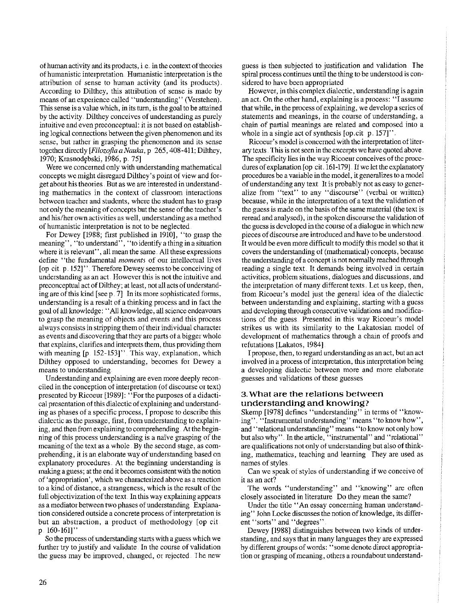of human activity and its products, i.e. in the context of theories of humanistic interpretation. Humanistic interpretation is the attribution of sense to human activity (and its products). According to Dilthey, this attribution of sense is made by means of an experience called "understanding" (Verstehen). This sense is a value which, in its turn, is the goal to be attained by the activity. Dilthey conceives of understanding as purely intuitive and even preconceptual: it is not based on establishing logical connections between the given phenomenon and its sense, but rather in grasping the phenomenon and its sense together directly *[Filozofia a Nauka, p* 265, 408-411; Dilthey, 1970; Krasnodębski, 1986, p. 75]

Were we concerned only with understanding mathematical concepts we might disregard Dilthey's point of view and forget about his theories. But as we are interested in understanding mathematics in the context of classroom interactions between teacher and students, where the student has to grasp not only the meaning of concepts but the sense of the teacher's and his/her own activities as well, understanding as a method of humanistic interpretation is not to be neglected

For Dewey [1988; first published in 1910], "to grasp the meaning", "to understand", "to identify a thing in a situation where it is relevant'', all mean the same All these expressions define ''the fundamental *moment5* of om intellectual lives [op cit p 152]" Therefore Dewey seems to be conceiving of understanding as an act However this is not the intuitive and preconceptual act of Dilthey; at least, not all acts of understanding are of this kind [see p. 7] In its more sophisticated forms, understanding is a result of a thinking process and in tact the goal of all knowledge: "All knowledge, all science endeavours to grasp the meaning of objects and events and this process always consists in stripping them of their individual character as events and discovering that they are parts of a bigger whole that explains, clarifies and interprets them, thus providing them with meaning [p. 152-153]". This way, explanation, which Dilthey opposed to understanding, becomes for Dewey a means to understanding

Understanding and explaining are even more deeply reconciled in the conception of interpretation (of discourse or text) presented by Ricoeur [1989]: "For the purposes of a didactical presentation of this dialectic of explaining and understanding as phases of a specific process, I propose to describe this dialectic as the passage, first, from understanding to explaining, and then from explaining to comprehending At the beginning of this process understanding is a nai've grasping of the meaning of the text as a whole By the second stage, as comprehending, it is an elaborate way of understanding based on explanatory procedures. At the beginning understanding is making a guess; at the end it becomes consistent with the notion of' appropriation', which we characterized above as a reaction to a kind of distance, a strangeness, which is the result of the full objectivization of the text. In this way explaining appears as a mediator between two phases of understanding Explanation considered outside a concrete process of interpretation is but an abstraction, a product of methodology [op cit p. 160-161]"

So the process of understanding starts with a guess which we further try to justify and validate. In the course of validation the guess may be improved, changed, or rejected. The new

guess is then subjected to justification and validation The spiral process continues until the thing to be understood is considered to have been appropriated

However, in this complex dialectic, understanding is again an act. On the other hand, explaining is a process: ''I assume that while, in the process of explaining, we develop a series of statements and meanings, in the course of understanding, a chain of partial meanings are related and composed into a whole in a single act of synthesis  $[op. cit p. 157]$ "

Ricoeur's model is concerned with the interpretation of literary texts. This is not seen in the excerpts we have quoted above. The specificity lies in the way Ricoeur conceives of the procedures of explanation [op cit. 161-179]. If we let the explanatory procedures be a variable in the model, it generalizes to a model of understanding any text It is probably not as easy to generalize from "text" to any "discourse" (verbal or written) because, while in the interpretation of a text the validation of the guess is made on the basis of the same material (the text is reread and analysed), in the spoken discourse the validation of the guess is developed in the course of a dialogue in which new pieces of discourse are introduced and have to be understood It would be even more difficult to modify this model so that it covers the understanding of (mathematical) concepts, because the understanding of a concept is not normally reached through reading a single text. It demands being involved in certain activities, problem situations, dialogues and discussions, and the interpretation of many different texts. Let us keep, then, from Ricoeur's model just the general idea of the dialectic between understanding and explaining, starting with a guess and developing through consecutive validations and modifications of the guess. Presented in this way Ricoeur's model strikes us with its similarity to the Lakatosian model of development of mathematics through a chain of proofs and refutations [Lakatos, 1984]

I propose, then, to regard understanding as an act, but an act involved in a process of interpretation, this interpretation being a developing dialectic between more and more elaborate guesses and validations of these guesses

# 3.. What are the relations between understanding and knowing?

Skemp [1978] defines "understanding" in terms of "knowing''. ''Instrumental understanding" means ''to know how'', and ''relational understanding'' means ''to know not only how but also why". In the article, "instrumental" and "relational" are qualifications not only of understanding but also of thinking, mathematics, teaching and learning They are used as names of styles

Can we speak of styles of understanding if we conceive of it as an act?

The words "understanding" and "knowing" are often closely associated in literature Do they mean the same?

Under the title "An essay concerning human understanding" John Locke discusses the notion of knowledge, its different "sorts" and "degrees"

Dewey [1988] distinguishes between two kinds of understanding, and says that in many languages they are expressed by different groups of words: ''some denote direct appropriation or grasping of meaning, others a roundabout understand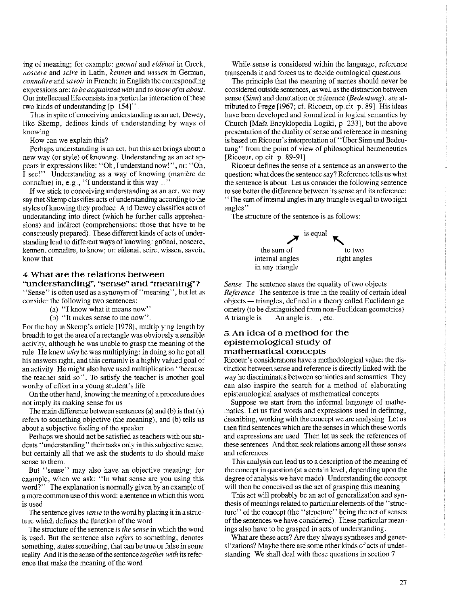ing of meaning; for example: *gnonai* and *eldenai* in Greek, *noscere* and *5cire* in Latin, *kennen* and *wissen* in German, *connaftre* and *savoir* in French; in English the corresponding expressions are: *to be acquainted with* and *to know of* or *about.*  Our intellectual life consists in a particular interaction of these two kinds of understanding  $[p \ 154]'$ 

Thus in spite of conceiving understanding as an act, Dewey, like Skemp, defines kinds of understanding by ways of knowing

How can we explain this?

Perhaps understanding is an act, but this act brings about a new way (01 style) of knowing. Understanding as an act appears in expressions like: ''Oh, I understand now!'', or: ''Oh, I see!". Understanding as a way of knowing (maniere de connaître) in, e.g., "I understand it this way.

If we stick to conceiving understanding as an act, we may say that Skemp classifies acts of understanding according to the styles of knowing they produce And Dewey classifies acts of understanding into direct (which he further calls apprehensions) and indirect (comprehensions: those that have to be consciously prepared) .. These different kinds of acts of understanding lead to different ways of knowing: gnonai, noscere, kennen, connaître, to know; or: eídēnai, scire, wissen, savoir, know that

## 4. What are the relations between "understanding", "sense" and "meaning"? ''Sense'' is often used as a synonym of ''meaning'', but let us

consider the following two sentences:

- (a) "I know what it means now"
- (b) "It makes sense to me now"

For the boy in Skemp's article [1978], multiplying length by breadth to get the area of a rectangle was obviously a sensible activity, although he was unable to grasp the meaning of the rule He knew *why* he was multiplying: in doing so he got all his answers right, and this certainly is a highly valued goal of an activity He might also have used multiplication ''because the teacher said so". To satisfy the teacher is another goal worthy of effort in a young student's life

On the other hand, knowing the meaning of a procedure does not imply its making sense for us

The main difference between sentences (a) and (b) is that (a) refers to something objective (the meaning), and (b) tells us about a subjective feeling of the speaker

Perhaps we should not be satisfied as teachers with our students "understanding" their tasks only in this subjective sense, but certainly all that we ask the students to do should make sense to them

But "sense" may also have an objective meaning; for example, when we ask: "In what sense are you using this word?" The explanation is normally given by an example of a more common use of this word: a sentence in which this word is used

The sentence gives *sense* to the word by placing it in a structure which defines the function of the word

The structure of the sentence *is the sense* in which the word is used. But the sentence also *refers* to something, denotes something, states something, that can be true or false in some reality. And it is the sense of the sentence *together with* its reference that make the meaning of the word

While sense is considered within the language, reference transcends it and forces us to decide ontological questions.

The principle that the meaning of names should never be considered outside sentences, as well as the distinction between sense *(Sinn)* and denotation 01 reference *(Bedeutung),* are attributed to Frege [1967; cf. Ricoem, op .cit p. 89] His ideas have been developed and formalized in logical semantics by Church [MaYa Encyklopedia Logiki, p 233], but the above presentation of the duality of sense and reference in meaning is based on Ricoeur 's interpretation of '' Uber Sinn und Bedeutung'' from the point of view of philosophical hermeneutics [Ricoeur, op ...cit p. 89-91]

Ricoeur defines the sense of a sentence as an answer to the question: what does the sentence say? Reference tells us what the sentence is about. Let us consider the following sentence to see better the difference between its sense and its reference: ''The sum of internal angles in any liiangle is equal to two right angles"

The structure of the sentence is as follows:



Sense. The sentence states the equality of two objects *Reference:* The sentence is true in the reality of certain ideal objects- triangles, defined in a theory called Euclidean geometty (to be distinguished from non-Euclidean geometries) A triangle is An angle is , etc.

# 5. An idea of a method for the epistemological study of mathematical concepts

Ricoem's considerations have a methodological value: the distinction between sense and reference is directly linked with the way he discriminates between semiotics and semantics They can also inspire the search for a method of elaborating epistemological analyses of mathematical concepts

Suppose we start from the informal language of mathematics Let us find words and expressions used in defining, describing, working with the concept we are analysing Let us then find sentences which are the senses in which these words and expressions are used Then let us seek the references of these sentences And then seek relations among all these senses and references

This analysis can lead us to a description of the meaning of the concept in question (at a certain level, depending upon the degree ofanalysis we have made) Understanding the concept will then be conceived as the act of grasping this meaning

This act will probably be an act of generalization and synthesis of meanings related to particular elements of the "structure" of the concept (the "structure" being the net of senses of the sentences we have considered) These particular meanings also have to be grasped in acts of understanding.

What are these acts? Are they always syntheses and generalizations? Maybe there are some other kinds of acts of understanding. We shall deal with these questions in section 7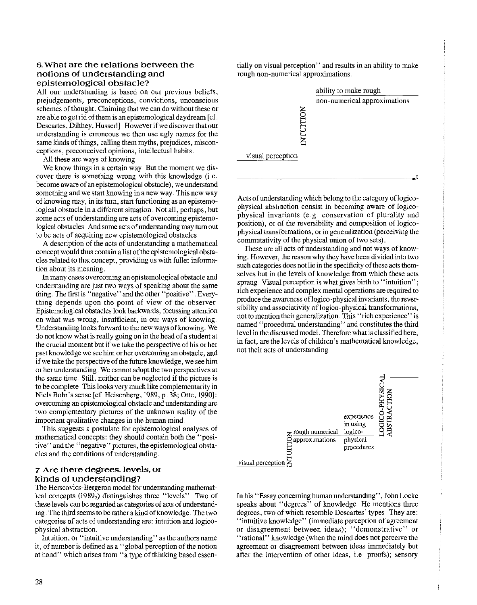## 6. What are the relations between the notions of understanding and epistemological obstacle?

All our understanding is based on our previous beliefs, **prejudgements, preconceptions, convictions, unconscious**  schemes of thought. Claiming that we can do without these or are able to get rid of them is an epistemological daydream [cf. Descartes, Dilthey, Husser!] However if we discover that our **understanding is erroneous we then use ugly names for the**  same kinds of things, calling them myths, prejudices, misconceptions, preconceived opinions, intellectual habits

All these are ways of knowing

We know things in a certain way. But the moment we discover there is something wrong with this knowledge (i.e. become aware of an epistemological obstacle), we understand **something and we start knowing in a new way. This new way of knowing may, in its turn, start functioning as an epistemo**logical obstacle in a different situation Not all, perhaps, but **some acts of understanding are acts of overcoming epistemo**logical obstacles And some acts of understanding may tum out to be acts of acquiring new epistemological obstacles

A description of the acts of understanding a mathematical concept would thus contain a list of the epistemological obstacles related to that concept, providing us with fuller informa**tion about its meaning.** 

**In many cases overcoming an epistemological obstacle and**  understanding are just two ways of speaking about the same thing The fust is "negative" and the other "positive" Everything depends upon the point of view of the observer Epistemological obstacles look backwards, focussing attention **on what was wrong, insufficient, in our ways of knowing**  Understanding looks forward to the new ways of knowing. We do not know what is really going on in the head of a student at the crucial moment but if we take the perspective of his or her past knowledge we see him or her overcoming an obstacle, and if we take the perspective of the future knowledge, we see him or her understanding We cannot adopt the two perspectives at the same time. Still, neither can be neglected if the picture is to be complete This looks very much like complementarity in Niels Bohr's sense [cf Heisenberg, 1989, p. 38; Otte, 1990]: overcoming an epistemological obstacle and understanding are two complementary pictures of the unknown reality of the important qualitative changes in the human mind

This suggests a postulate for epistemological analyses of mathematical concepts: they should contain both the "positive'' and the ''negative'' pictures, the epistemological obstacles and the conditions of understanding

# 7. Are there degrees, levels, or kinds of understanding?

The Herscovics-Bergeron model for understanding mathematical concepts  $(1989<sub>2</sub>)$  distinguishes three "levels" Two of these levels can be regarded as categories of acts of understanding. The third seems to be rather akindofknowledge. The two **categories of acts of understanding are: intuition and logico**physical abstraction.

**Intuition, or' 'intuitive understanding'' as the authors name**  it, of number is defined as a "global perception of the notion at hand" which arises from "a type of thinking based essen-

28

tially on visual perception'' and results in an ability to make **rough non-numerical approximations.** 



Acts of understanding which belong to the category of logico**physical abstraction consist in becoming aware of logico**physical invariants (e.g. conservation of plurality and position), or of the reversibility and composition of logico**physical transfOrmations, orin generalization (perceiving the**  commutativity of the physical union of two sets)

These are all acts of understanding and not ways of knowing. However, the reason why they have been divided into two **such categories does not lie in the specificity of these acts them**selves but in the levels of knowledge from which these acts **sprang Visual perception is what gives birth to ''intuition''; rich experience and complex mental operations are required to**  produce the awareness of logico-physical invariants, the reversibility and associativity of logico-physical transformations, **not to mention their generalization This ''rich experience'' is**  named ''procedural understanding'' and constitutes the third level in the discussed model. Therefore what is classified here, in fact, are the levels of children's mathematical knowledge, not their acts of understanding



In his "Essay conceming human understanding", John Locke speaks about "degrees" of knowledge He mentions three degrees, two of which resemble Descartes' types They are: "intuitive knowledge" (immediate perception of agreement **or disagreement between ideas); "demonstrative" or**  "rational" knowledge (when the mind does not perceive the **agreement or disagreement between ideas immediately but after the intervention of other ideas, i . e proofs); sensory**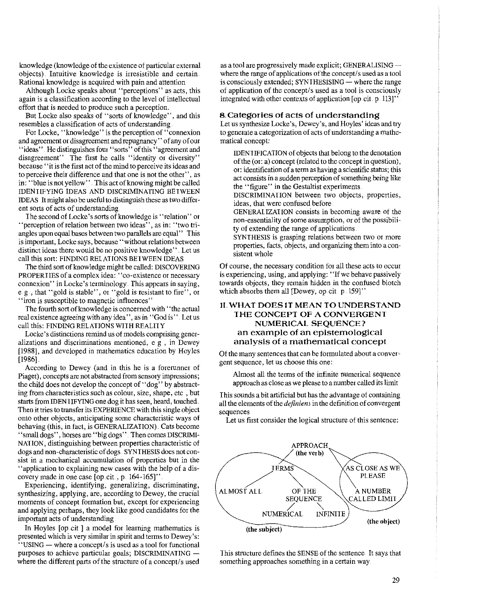knowledge (knowledge of the existence of particular external objects). Intuitive knowledge is irresistible and certain Rational knowledge is acquired with pain and attention

Although Locke speaks about "perceptions" as acts, this again is a classification according to the level of intellectual effort that is needed to produce such a perception.

But Locke also speaks of "sorts of knowledge", and this resembles a classification of acts of understanding

For Locke, "knowledge" is the perception of "connexion and agreement or disagreement and repugnancy'' of any of our ''ideas'' . He distinguishes four ''sorts'' of this ''agreement and disagreement" The first he calls "identity or diversity" because' 'it is the first act of the mind to perceive its ideas and to perceive their difference and that one is not the other'', as in: "blue is not yellow". This act of knowing might be called IDENIIFYING IDEAS AND DISCRIMINATING BETWEEN IDEAS It might also be useful to distinguish these as two different sorts of acts of understanding

The second of Locke's sorts of knowledge is "relation" or ''perception of relation between two ideas'', as in: ''two triangles upon equal bases between two parallels are equal'' This is important, Locke says, because' 'without relations between distinct ideas there would be no positive knowledge". Let us call this sort: FINDING RELATIONS BETWEEN IDEAS

The third sort of knowledge might be called: DISCOVERING PROPERTIES of a complex idea: "co-existence or necessary connexion'' in Locke's terminology. This appears in saying, e g , that "gold is stable", or "gold is resistant to fire", or ''iron is susceptible to magnetic influences''

The fourth sort of knowledge is concerned with "the actual real existence agreeing with any idea'', as in ''God is'' Let us call this: FINDING RELATIONS WITH REALITY

Locke's distinctions remind us of models comprising generalizations and discriminations mentioned, e g , in Dewey [1988], and developed in mathematics education by Hoyles [1986].

According to Dewey (and in this he is a forerunner of Piaget), concepts are not abstracted from sensory impressions; the child does not develop the concept of "dog" by abstracting from characteristics such as colour, size, shape, etc , but starts from IDENIIFYING one dog it has seen, heard, touched. Then it tries to tiansfer its EXPERIENCE with this single object onto other objects, anticipating some characteristic ways of behaving (this, in fact, is GENERALIZATION). Cats become "small dogs", horses are "big dogs". Then comes DISCRIMI-NAIION, distinguishing between properties characteristic of dogs and non-characteristic of dogs SYNTHESIS does not consist in a mechanical accumulation of properties but in the "application to explaining new cases with the help of a discovery made in one case [op .cit., p. 164-165]"

Experiencing, identifying, generalizing, discriminating, synthesizing, applying, are, according to Dewey, the crucial moments of concept formation but, except for experiencing and applying perhaps, they look like good candidates for the important acts of understanding

In Hoyles [op .cit ] a model for learning mathematics is presented which is very similar in spirit and terms to Dewey's: "USING — where a concept/s is used as a tool for functional purposes to achieve particular goals; DISCRIMINATING where the different parts of the structure of a concept/s used

as a tool are progressively made explicit; GENERALISINGwhere the range of applications of the concept/s used as a tool is consciously extended; SYNIHESISING — where the range of application of the concept/s used as a tool is consciously integrated with other contexts of application [op.cit. p. 113]''.

## 8.. Categories of acts of understanding

Let us synthesize Locke's, Dewey's, and Hoyles' ideas and try to generate a categorization of acts of understanding a mathematical concept:

IDENTIFICAIION of objects that belong to the denotation ofthe (or: a) concept (related to the concept in question), or: identification of a term as having a scientific status; this act consists in a sudden perception of something being like the "figure" in the Gestaltist experiments.

DISCRIMINATION between two objects, properties, ideas, that were confused before

GENERALIZAIION consists in becoming aware of the non -essentiality of some assumption, or of the possibility of extending the range of applications

SYNTHESIS is grasping relations between two or more properties, facts, objects, and organizing them into a consistent whole

Of course, the necessary condition for all these acts to occur is experiencing, using, and applying: "If we behave passively towards objects, they remain hidden in the confused blotch which absorbs them all [Dewey, op.cit p. 159]"

# II. WHAT DOES IT MEAN TO UNDERSTAND THE CONCEPT OF A CONVERGENT NUMERICAL SEQUENCE? an example of an epistemological analysis of a mathematical concept

Of the many sentences that can be formulated about a convergent sequence, let us choose this one:

Almost all the terms of the infinite numerical sequence approach as close as we please to a number called its limit

I his sounds a bit artificial but has the advantage of containing all the elements of the *definiens* in the definition of convergent sequences

Let us first consider the logical structure of this sentence:



This structure defines the SENSE of the sentence It says that something approaches something in a certain way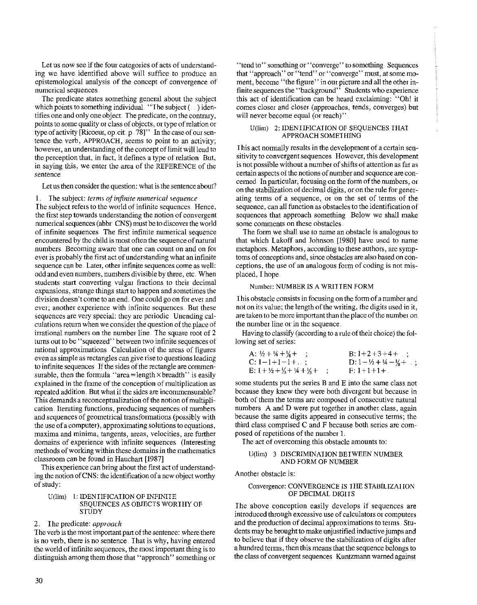Let us now see if the four categories of acts of understanding we have identified above will suffice to produce an epistemological analysis of the concept of convergence of **numerical sequences** 

The predicate states something general about the subject which points to something individual "The subject  $(\dots)$  identifies one and only one object. The predicate, on the contrary, points to some quality or class of objects, or type of relation or type of activity [Ricoeur, op .cit p. 78]" In the case of our sentence the verb, APPROACH, seems to point to an activity; however, an understanding of the concept of limit will lead to the perception that, in fact, it defines a type of relation. But, in saying this, we enter the area of the REFERENCE of the **sentence** 

**Let us then consider the question: what is the sentence about?** 

#### **1. The subject:** *terms of infinite numerical sequence*

The subject refers to the world of infinite sequences. Hence, the first step towards understanding the notion of convergent numerical sequences (abbr CNS) must be to discover the world **of infinite sequences The first infinite numerical sequence**  encountered by the child is most often the sequence of natural **numbers Becoming aware that one can count on and on for**  ever is probably the first act of understanding what an infinite **sequence can be. Later, other infinite sequences come as well: odd and even numbers, numbers divisible by three, etc. When students start converting vulgar fractions to their decimal expansions, strange things start to happen and sometimes the division doesn't come to an end. One could go on for ever and**  ever; another experience with infinite sequences. But these **sequences are very special: they are periodic Unending calculations return when we consider the question of the place of inational numbers on the number line 'I he square root of 2 tums out to be ''squeezed'' between two infinite sequences of rational approximations Calculation of the areas of figures even as simple as rectangles can give rise to questions leading to infinite sequences If the sides of the rectangle are commen**surable, then the formula "area=length $\times$ breadth" is easily explained in the frame of the conception of multiplication as repeated addition. But what if the sides are incommensurable? This demands a reconceptualization of the notion of multipli**cation Iterating functions, producing sequences of numbers**  and sequences of geometrical transformations (possibly with **the use of a computer), approximating solutions to equations, maxima and minima, tangents, areas, velocities, are further domains of experience with infinite sequences (Interesting methods of working within these domains in the mathematics**  classroom can be found in Hauchart [1987]

This experience can bring about the first act of understanding the notion of CNS: the identification of a new object worthy of study:

## U(lim) 1: IDENTIFICATION OF INFINITE SEQUENCES AS OBJECTS WORTHY OF **STUDY**

#### 2. I he predicate: *approach*

The verb is the most important part of the sentence: where there **is no verb, there is no sentence That is why, having entered**  the world of infinite sequences, the most important thing is to distinguish among them those that ''approach'' something or

**''tend to'' something or ''converge'' to something Sequences that ''approach'' or ''tend'' or ''converge'' must, at some mo**ment, become' 'the figure'' in our picture and all the other in**finite sequences the ''background'' Students who experience**  this act of identification can be heard exclaiming: "Oh! it **comes closer and closer (approaches, tends, converges) but**  will never become equal (or reach)".

## U(lim) 2: IDENTIFICATION OF SEQUENCES THAT APPROACH SOMETHING

This act normally results in the development of a certain sen**sitivity to convergent sequences However, this development**  is not possible without a number of shifts of attention as far as **certain aspects of the notions of number and sequence are concerned In particular, focusing on the form of the numbers, or**  on the stabilization of decimal digits, or on the rule for gener**ating terms of a sequence, or on the set of terms of the sequence, can all function as obstacles to the identification of**  sequences that approach something Below we shall make **some comments on these obstacles** 

**The form we shall use to name an obstacle is analogous to**  that which Lakoff and Johnson [1980] have used to name metaphors. Metaphors, according to these authors, are symp**toms of conceptions and, since obstacles are also based on conceptions, the use of an analogous form of coding is not mis**placed, I hope

#### Number: NUMBER IS A WRII IEN FORM

I his obstacle consists in focusing on the form of a number and not on its value; the length of the writing, the digits used in it, are taken to be more important than the place of the number on **the number line or in the sequence** 

Having to classify (according to a rule of their choice) the fol**lowing set of series:** 

| A: $\frac{1}{2} + \frac{1}{4} + \frac{1}{8} +$ ;                             | $B: 1+2+3+4+$                                             |
|------------------------------------------------------------------------------|-----------------------------------------------------------|
| $C: 1-1+1-1+;$                                                               | $D: 1 - \frac{1}{2} + \frac{1}{4} - \frac{1}{8} + \ldots$ |
| $E: 1 + \frac{1}{2} + \frac{1}{3} + \frac{1}{4} + \frac{1}{5} + \frac{1}{6}$ | $F: 1+1+1+$                                               |

**some students put the series B and E into the same class not**  because they knew they were both divergent but because in **both of them the terms are composed of consecutive natutal numbers A and D were put together in another class, again because the same digits appeared in consecutive terms; the**  third class comprised C and F because both series are composed of repetitions of the number 1.

**The act of overcoming this obstacle amounts to:** 

## U(lim) 3 DISCRIMINAIION BEIWEEN NUMBER AND FORM OF NUMBER

Another obstacle is:

## Convergence: CONVERGENCE IS THE SIABILIZAIION OF DECIMAL DIGITS

**The above conception easily develops if sequences are introduced through excessive use of calculators or computers**  and the production of decimal approximations to terms. Students may be brought to make unjustified inductive jumps and to believe that if they observe the stabilization of digits after a hundred terms, then this means that the sequence belongs to **the class of convergent sequences Kuntzmann warned against**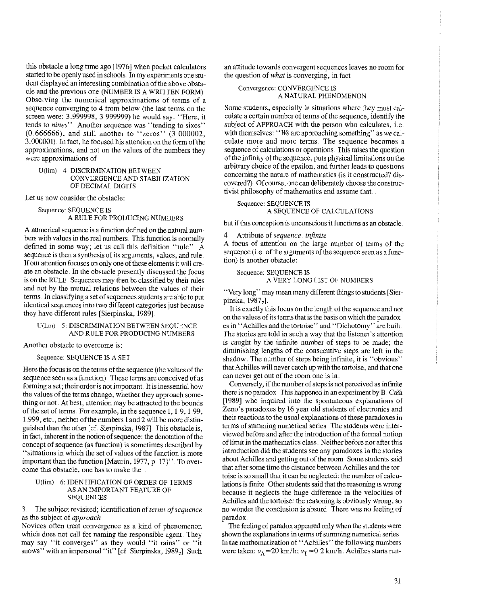this obstacle a long time ago [1976] when pocket calculators started to be openly used in schools In my experiments one student displayed an interesting combination of the above obstacle and the previous one (NUMBER IS A WRIT TEN FORM) **Observing the numerical approximations of terms of a**  sequence converging to 4 from below (the last terms on the screen were: 3.999998, 3 999999) he would say: "Here, it **tends to** *nines"* **Another sequence was "tending to sixes"**   $(0.666666)$ , and still another to "zeros"  $(3\ 000002)$ , 3 000001) In fact, he focused his attention on the form ofthe **approximations, and not on the values of the numbers they were approximations of** 

## U(lim) 4. DISCRIMINATION BETWEEN CONVERGENCE AND STABILIZATION OF DECIMAL DIGITS

**Let us now consider the obstacle:** 

## Sequence: SEQUENCE IS A RULE FOR PRODUCING NUMBERS

**A numerical sequence is a function defined on the natmal num**bers with values in the real numbers. This function is normally defined in some way; let us call this definition "rule" A **sequence is then a synthesis of its arguments, values, and rule If our attention focuses on only one of these elements it will cre**ate an obstacle. In the obstacle presently discussed the focus is on the RULE Sequences may then be classified by their rules and not by the mutual relations between the values of their terms In classifying a set of sequences students are able to put **identical sequences into two different categories just because**  they have different rules [Sierpinska, 1989]

## U(lim) 5: DISCRIMINATION BETWEEN SEQUENCE AND RULE FOR PRODUCING NUMBERS

**Another obstacle to overcome is:** 

#### Sequence: SEQUENCE IS A SE I

Here the focus is on the terms of the sequence (the values of the **sequence seen as a function) These terms are conceived of as forming a set; their order is not important It is inessential how**  the values of the terms change, whether they approach something or not At best, attention may be attracted to the bounds of the set of terms For example, in the sequence  $1, 1.9, 1.99$ , 1999, etc , neither of the numbers I and2 will be more distinguished than the other [cf. Sierpinska, 1987]. This obstacle is, in fact, inherent in the notion of sequence: the denotation of the concept of sequence (as function) is sometimes described by **''situations in which the set of values of the function is more**  important than the function [Maurin, 1977, p  $17$ ]''. To over**come this obstacle, one has to make the** 

#### U(lim) 6: IDENIIFICATION OF ORDER OF TERMS AS AN IMPORTANT FEATURE OF SEQUENCES

**'3 The subject revisited; identification of** *terms of sequence*  as the subject of *approach* 

**Novices often treat convergence as a kind of phenomenon**  which does not call for naming the responsible agent. They **may say "it converges" as they would "it rains" or "it**  snows" with an impersonal "it" [cf Sierpinska,  $1989<sub>2</sub>$ ]. Such

**an attitude towards convergent sequences leaves no room for the question of** *what* **is converging, in fact** 

## Convergence: CONVERGENCE IS A NATURAL PHENOMENON

**Some students, especially in situations where they must cal**culate a certain number of terms of the sequence, identify the subject of APPROACH with the person who calculates, i.e. **with themselves: ''** *We* **are approaching something'' as** *we* **calculate more and more terms. The sequence becomes a sequence of calculations or operations. Ibis raises the question**  of the infinity of the sequence, puts physical limitations on the arbitrary choice of the epsilon, and further leads to questions **concerning the nature of mathematics {is it constructed? dis**covered?) Of course, one can deliberately choose the constructivist philosophy of mathematics and assume that

## Sequence: SEQUENCE IS

# A SEQUENCE OF CALCULATIONS

**but if this conception is unconscious it functions as an obstacle** 

4 Attribute of *sequence· infinite* 

A focus of attention on the large number of terms of the **sequence (i.e of the arguments of the sequence seen as a func**tion) is another obstacle:

## Sequence: SEQUENCE IS A VERY LONG LIST OF NUMBERS

"Very long" may mean many different things to students [Sierpinska, 1987<sub>2</sub>].

It is exactly this focus on the length of the sequence and not on the values of its terms that is the basis on which the paradoxes in "Achilles and the tortoise" and "Dichotomy" are built **The stories are told in such a way that the listener's attention**  is caught by the infinite number of steps to be made; the diminishing lengths of the consecutive steps are left in the **shadow The number of steps being infinite, it is ''obvious''**  that Achilles will never catch up with the tortoise, and that one **can never get out of the room one is in** 

**Conversely, if the number of steps is not perceived as infinite**  there is no paradox This happened in an experiment by B. Cala [1989] who inquired into the spontaneous explanations of Zeno's paradoxes by 16 year old students of electronics and **their reactions to the usual explanations of these paradoxes in terms of summing numerical series The students were interviewed befOre and after the introduction of the formal notion**  oflimit in the mathematics class Neither before nor after this **introduction did the students see any paradoxes in the stories**  about Achilles and getting out of the room Some students said that after some time the distance between Achilles and the tortoise is so small that it can be neglected: the number of calcu**lations is finite Other students said that the reasoning is wrong**  because it neglects the huge difference in the velocities of Achilles and the tortoise: the reasoning is obviously wrong, so **no wonder the conclusion is absurd 1here was no feeling of**  paradox

The feeling of paradox appeared only when the students were **shown the explanations in terms of summing numerical series**  In the mathematization of ''Achilles'' the following numbers were taken:  $v_A = 20$  km/h;  $v_I = 0$  2 km/h. Achilles starts run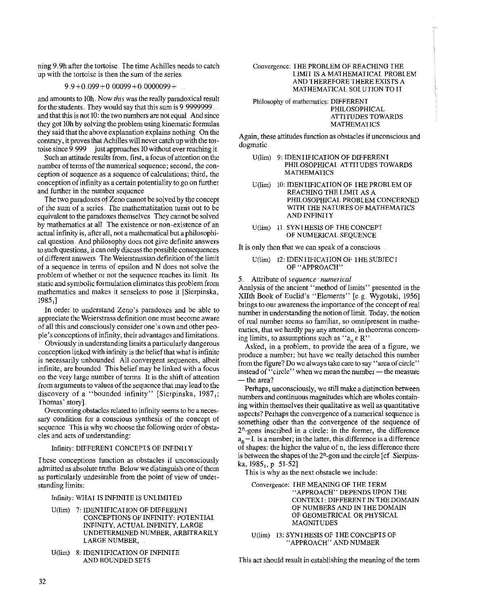ping 9. 9h after the tortoise . I he time Achilles needs to catch **up with the tortoise is then the sum of the series** 

 $9.9+0.099+0.00099+0.0000099+$ 

and amounts to !Oh. Now *this* was the really paradoxical result for the students .. They would say that this sum is 9.9999999 and that this is not 10: the two numbers are not equal And since they got !Oh by solving the problem using kinematic formulas they said that the above explanation explains nothing. On the contrary, it proves that Achilles will never catch up with the tortoise since  $9.999$  just approaches 10 without ever reaching it.

Such an attitude results from, first, a focus of attention on the **number of terms of the numerical sequence; second, the conception of sequence as a sequence of calculations; third, the**  conception of infinity as a certain potentiality to go on further and further in the number sequence

The two paradoxes of Zeno cannot be solved by the concept of the sum of a series. The mathematization turns out to be equivalent to the paradoxes themselves They carmot be solved **by mathematics at all The existence or non-existence of an**  actual infinity is, after all, not a mathematical but a philosophical question. And philosophy does not give definite answers **to such questions, it can only discuss the possible consequences**  of different answers. The Weierstrassian definition of the limit **of a sequence in terms of epsilon and N does not solve the**  problem of whether or not the sequence reaches its limit. Its **static and symbolic formulation eliminates this problem from mathematics and makes it senseless to pose it [Sierpinska,**  1985,]

In order to understand Zeno's paradoxes and be able to **appreciate the Weierstrass definition one must become aware of all this and consciously consider one's own and other peo**ple's conceptions of infinity, their advantages and limitations

Obviously in understanding limits a particularly dangerous conception linked with infinity is the belief that what is infinite **is necessarily unbounded All convergent sequences, albeit**  infinite, are bounded This belief may be linked with a focus on the very large number of terms It is the shift of attention from arguments to values of the sequence that may lead to the discovery of a "bounded infinity" [Sierpinska,  $1987<sub>1</sub>$ ; Thomas' story]

Overcoming obstacles related to infinity seems to be a neces**sary condition for a conscious synthesis of the concept of**  sequence This is why we choose the following order of obstacles and acts of understanding:

## Infiniry: DIFFERENT CONCEPTS OF INFINITY

**These conceptions function as obstacles if unconsciously**  admitted as absolute truths Below we distinguish one of them as particularly undesirable from the point of view of understanding limits:

lnfiniry: WHAT IS INFINITE IS UNLIMITED

- U(lim) 7: IDENIIFICATION OF DIFFERENT CONCEPTIONS OF INFINITY: POTENTIAl INFINITY, ACTUAL INFINITY, LARGE UNDETERMINED NUMBER, ARBITRARilY LARGE NUMBER,
- U(lim) 8: IDENTIFICATION OF INFINITE AND BOUNDED SETS

**Philosophy of mathematics: DIFFERENT**  PHILOSOPHICAL ATTITUDES TOWARDS MATHEMATICS

Again, these attitudes function as obstacles if unconscious and dogmatic

- U(lim) 9: IDENIIFICATION OF DIFFERENT PHILOSOPHICAL ATTITUDES TOWARDS MATHEMATICS
- U(lim) 10: IDENTIFICATION OF THE PROBLEM OF REACHING THE LIMIT AS A PHILOSOPHICAL PROBLEM CONCERNED WITH THE NATURES OF MATHEMATICS AND INFINITY
- U(lim) 11 SYNTHESIS OF THE CONCEPT OF NUMERICAL SEQUENCE

It is only then that we can speak of a conscious...

## U(lim) 12: IDENTIFICATION OF THE SUBJECT OF "APPROACH"

**5 Attribute of** *sequence· numerical* 

Analysis of the ancient "method of limits" presented in the Xllth Book of Euclid's "Elements" [e.g. Wygotski, 1956] **brings to our awareness the importance of the concept of real**  number in understanding the notion of limit. Today, the notion **of real number seems so familiar, so omnipresent in mathematics, that we hardly pay any attention, in theorems concern**ing limits, to assumptions such as  $"a_n \in \mathbb{R}"$ .

Asked, in a problem, to provide the area of a figure, we produce a number: but have we really detached this number from the figure? Do we always take care to say "area of circle" **instead of ''circle'' when we mean the number- the measure**   $-$  the area?

**Perhaps, unconsciously, we still make a distinction between**  numbers and continuous magnitudes which are wholes containing within themselves their qualitative as well as quantitative **aspects? Perhaps the convergence of a numerical sequence is**  something other than the convergence of the sequence of **2°-gons inscribed in a circle: in the former, the difference**   $a_n - L$  is a number; in the latter, this difference is a difference of shapes: the higher the value of n, the less difference there is between the shapes of the  $2<sup>n</sup>$ -gon and the circle [cf. Sierpinska, 1985, p. 51-52]

I his is why as the next obstacle we include:

Convergence: THE MEANING OF THE TERM "APPROACH" DEPENDS UPON THE CONTEXT: DIFFERENT !NT HE DOMAIN OF NUMBERS AND IN THE DOMAIN OF GEOMETRICAL OR PHYSICAL MAGNITUDES

U(lim) 13: SYNTHESIS OF THE CONCEPTS OF "APPROACH" AND NUMBER

This act should result in establishing the meaning of the term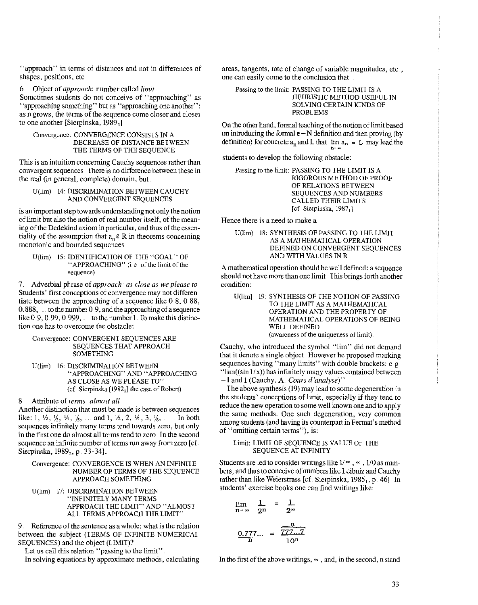**"approach" in terms of distances and not in differences of shapes, positions, etc** 

6 Object of *approach:* number called *limit*  **Sometimes students do not conceive of "approaching" as**  "approaching something" but as "approaching one another": **as n grows, the terms of the sequence come closer and closer**  to one another [Sierpinska,  $1989<sub>2</sub>$ ]

## Convergence: CONVERGENCE CONSISTS IN A DECREASE OF DISTANCE BETWEEN THE TERMS OF THE SEQUENCE

**This is an intuition concerning Cauchy sequences rather than convergent sequences. There is no difference between these in**  the real (in general, complete) domain, but.

## U(lim) 14: DISCRIMINATION BETWEEN CAUCHY AND CONVERGENT SEQUENCES

is an important step towards understanding not only the notion of limit but also the notion of real number itself, of the meaning of the Dedekind axiom in particular, and thus of the essen**tiality of the assumption that**  $a_n \in \mathbb{R}$  **in theorems concerning monotonic and bounded sequences** 

U(lim) 15: IDENTIFICATION OF THE "GOAL" OF "APPROACHING" (i.e of the limit of the **sequence)** 

7. Adverbial phrase of *approach as close as we please to*  **Students' first conceptions of convergence may not differen**tiate between the approaching of a sequence like 0.8, 0.88, 0.888, .. to the number 0 9, and the approaching of a sequence like  $0\,9, 0.99, 0.999, \ldots$  to the number 1. To make this distinc**tion one has to overcome the obstacle:** 

## Convergence: CONVERGENT SEQUENCES ARE SEQUENCES THAT APPROACH SOMETHING

U(lim) 16: DISCRIMINATION BETWEEN "APPROACHING" AND "APPROACHING AS CLOSE AS WE PLEASE TO" (cf Sierpinska [1982,] the case of Robert)

## 8 Attribute of *terms almost all*

**Another distinction that must be made is between sequences**  like: 1,  $\frac{1}{2}$ ,  $\frac{1}{2}$ ,  $\frac{1}{3}$ ,  $\frac{1}{4}$ ,  $\frac{1}{5}$ ,  $\ldots$  and 1,  $\frac{1}{2}$ , 2,  $\frac{1}{4}$ , 3,  $\frac{1}{8}$ ,  $\ldots$  In both sequences infinitely many terms tend towards zero, but only in the first one do almost all terms tend to zero In the second **sequence an infinite number of terms tun away from zero [ cf**  Sierpinska, 1989<sub>2</sub>, p. 33-34].

## Convergence: CONVERGENCE IS WHEN AN INFINITE NUMBER OF TERMS OF THE SEQUENCE APPROACH SOMETHING

U(lim) 17: DISCRIMINATION BETWEEN "INFINITELY MANY TERMS APPROACH THE LIMIT" AND "ALMOST ALL TERMS APPROACH THE LIMIT"

9 Reference of the sentence as a whole: what is the relation between the subject (TERMS OF INFINITE NUMERICAL SEQUENCES) and the object (LIMIT)?

Let us call this relation "passing to the limit".

In solving equations by approximate methods, calculating

areas, tangents, rate of change of variable magnitudes, etc., **one can easily come to the conclusion that** 

Passing to the limit: PASSING TO THE LIMIT IS A HEURIS1IC METHOD USEFUL IN SOLVING CERTAIN KINDS OF **PROBLEMS** 

On the other hand, formal teaching of the notion of limit based on introducing the formal  $e-N$  definition and then proving (by definition) for concrete  $a_n$  and L that  $\lim_{n \to \infty} a_n = L$  may lead the

students to develop the following obstacle:

Passing to the limit: PASSING TO THE LIMIT IS A RIGOROUS METHOD OF PROOF OF RELATIONS BETWEEN SEQUENCES AND NUMBERS CALLED THEIR LIMI1S [cf Sierpinska, 1987<sub>1</sub>]

**Hence there is a need to make a** 

U(lim) 18: SYNTHESIS OF PASSING TO THE LIMIT AS A MATHEMATICAL OPERATION DEFINED ON CONVERGENT SEQUENCES AND WITH VALUES IN R

A mathematical operation should be well defined: a sequence should not have more than one limit. This brings forth another **condition:** 

U(lim] 19: SYNTHESIS OF THE NOTION OF PASSING TO THE LIMIT AS A MATHEMATICAL OPERA110N AND THE PROPERlY OF MATHEMATICAl OPERATIONS OF BEING WELL DEFINED **(awareness of the uniqueness of limit)** 

Cauchy, who introduced the symbol "lim" did not demand that it denote a single object However he proposed marking sequences having "many limits" with double brackets: e g  $\lq$ lim((sin 1/x)) has infinitely many values contained between -I and I (Cauchy, A *Cour:s d'analyse)"* 

The above synthesis (19) may lead to some degeneration in the students' conceptions of limit, especially if they tend to reduce the new operation to some well known one and to apply **the same methods One such degeneration, very common**  among students (and having its counterpart in Fermat's method **of "omitting certain terms"), is:** 

## Limit: LIMIT OF SEQUENCE IS VAlUE OF !HE SEQUENCE AT INFINITY

Students are led to consider writings like  $1/ \infty$ ,  $\infty$ ,  $1/0$  as numbers, and thus to conceive of numbers like Leibniz and Cauchy rather than like Weierstrass [cf Sierpinska,  $1985<sub>1</sub>$ , p 46] In **students' exercise books one can find writings like:** 

$$
\lim_{n \to \infty} \frac{1}{2^n} = \frac{1}{2^{\infty}}
$$

$$
\frac{0.777...}{n} = \frac{\frac{n}{777...7}}{10^n}
$$

In the first of the above writings,  $\infty$ , and, in the second, n stand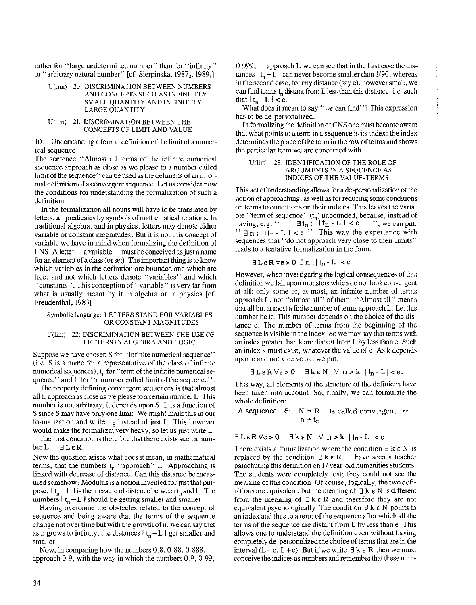**rather for' 'large undetermined number'' than for ''infinity''**  or "arbitrary natural number" [cf Sierpinska, 1987<sub>2</sub>, 1989<sub>1</sub>].

- U(lim) 20: DISCRIMINATION BETWEEN NUMBERS AND CONCEPTS SUCH AS INFINITELY SMALL QUANTITY AND INFINITELY LARGE QUANTITY
- U(lim) 21: DISCRIMINATION BETWEEN THE CONCEPTS OF LIMIT AND VALUE

10 Understanding a formal definition of the limit of a numer**ical sequence** 

The sentence "Almost all terms of the infinite numerical **sequence approach as close as we please to a number called**  limit of the sequence" can be used as the definiens of an infor**mal definition of a convergent sequence Let us consider now**  the conditions for understanding the formalization of such a **definition** 

In the formalization all nouns will have to be translated by letters, all predicates by symbols of mathematical relations. In traditional algebra, and in physics, letters may denote either variable or constant magnitudes. But it is not this concept of variable we have in mind when formalizing the definition of LNS  $A$  letter  $-$  a variable  $-$  must be conceived as just a name for an element of a class (or set). The important thing is to know which variables in the definition are bounded and which are **free, and not which letters denote "variables" and which ''constants'' This conception of ''variable'' is very far from**  what is usually meant by it in algebra or in physics [cf]. Freudenthal, 1983]

#### Symbolic language: LEI'TERS STAND FOR VARIABLES OR CONSTANT MAGNITUDES

## U(lim) 22: DISCRIMINATION BETWEEN THE USE OF LETTERS IN ALGEBRA AND LOGIC

Suppose we have chosen S for "infinite numerical sequence" **(i e S is a name fOr a representative of the class of infinite**  numerical sequences),  $t_n$  for "term of the infinite numerical sequence" and L for "a number called limit of the sequence".

The property defining convergent sequences is that almost **all** ~ **approach as close as we please to a certain number L This**  number is not arbitrary, it depends upon S L is a function of **S since S may have only one limit. We might mark this in our formalization and write Ls instead of just L. This however**  would make the formalizm very heavy, so let us just write L

**The first condition is therefore that there exists such anum**berL: 3 LeR.

**Now the question arises what does it mean, in mathematical**  terms, that the numbers  $t_n$  "approach" L? Approaching is **linked with decrease of distance. Can this distance be meas**ured somehow? Modulus is a notion invented for just that purpose:  $\vert t_n-L \vert$  is the measure of distance between  $t_n$  and L The numbers  $\mathbf{t}_n - \mathbf{L}$  I should be getting smaller and smaller

**Having overcome the obstacles related to the concept of**  sequence and being aware that the terms of the sequence **change not overtime but with the growth of n, we can say that**  as n grows to infinity, the distances  $|t_n - L|$  get smaller and smaller

Now, in comparing how the numbers  $0.8, 0.88, 0.888$ , . approach 0 9, with the way in which the numbers 0.9, 0 99,

0 999, . approach 1, we can see that in the first case the distances  $I_{n} - L$  I can never become smaller than 1/90, whereas **in the second case, for any distance (say e), however small, we**  can find terms  $t_n$  distant from L less than this distance, i e such that  $|t_n-L| < e$ .

**What does it mean to say** ''we **can find''? This expression has to be de-personalized** 

In formalizing the definition of CNS one must become aware **that what points to a term in a sequence is its index: the index**  determines the place of the term in the row of terms and shows **the particular term we are concerned with** 

## U(lim) 23: IDENTIFICAIION OF THE ROLE OF ARGUMENTS IN A SEQUENCE AS INDICES OF 1HE VALUE-TERMS

This act of understanding allows for a de-personalization of the notion of approaching, as well as for reducing some conditions **on terms to conditions on their indices. This leaves the varia**ble "term of sequence"  $(t_n)$  unbounded, because, instead of having, e.g. "  $\exists t_n : \mathbb{I} \setminus \mathbb{I} \setminus \mathbb{I} \setminus \mathbb{I} \setminus \mathbb{I} \setminus \mathbb{I}$  we can put: "  $\exists n : \exists t_n - L \mid \leq e$  ". This way the experience with **sequences that ''do not approach very close to their limits'' leads to a tentative formalization in the form:** 

 $\exists$ L $\epsilon$ R $\forall$ e > 0  $\exists$ n: |t<sub>n</sub> - L| < e-

**However, when investigating the logical consequences of this definition we fall upon monsters which do not look convergent at all: only some or, at most, an infinite number of terms**  approach L, not "almost all" of them "Almost all" means that all but at most a finite number of terms approach L . let this number be k. This number depends on the choice of the distance e The number of terms from the beginning of the **sequence is visible in the index So we may say that terms with**  an index greater than k are distant from L by less than e Such **an index k must exist, whatever the value of e As k depends upon e and not vice versa, we put:** 

$$
\exists L\,\epsilon\,R\,\forall e>0\quad \exists\,k\,\epsilon\,N\quad \forall\ n>k\,\,\left|\,t_n-L\,\right|
$$

This way, all elements of the structure of the definiens have been taken into account. So, finally, we can formulate the **whole definition:** 

A sequence S:  $N \rightarrow R$  is called convergent  $\leftrightarrow$  $n \rightarrow t_n$ 

# $\exists L\epsilon R \forall \epsilon > 0$   $\exists k \epsilon N \forall n > k | t_n - L | < \epsilon$ .

There exists a formalization where the condition  $\exists k \in N$  is replaced by the condition  $\exists k \in R$  I have seen a teacher parachuting this definition on 17 year-old humanities students The students were completely lost; they could not see the meaning of this condition Of course, logically, the two defi**nitions are equivalent, but the meaning of**  $\exists$  **k**  $\epsilon$  **N is different** from the meaning of  $\exists k \in R$  and therefore they are not equivalent psychologically. The condition  $\exists k \in N$  points to an index and thus to a term of the sequence after which all the terms of the sequence are distant ffom l by less than e This **allows one to understand the definition even without having**  completely de-personalized the choice of terms that are in the interval  $(L-e, L+e)$  But if we write  $\exists k \in R$  then we must **conceive the indices as numbers and remember that these num-**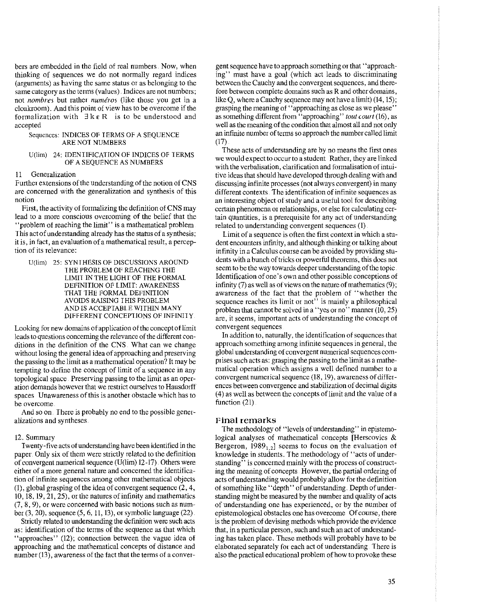bers are embedded in the field of real numbers. Now, when thinking of sequences we do not normally regard indices (arguments) as having the same status or as belonging to the **same category as the terms (values) Indices are not numbers; not** *nombres* **but rather** *numiros* **(like those you get in a**  cloakroom). And this point of view has to be overcome if the **formalization with**  $\exists$  **<b>k**  $\in$  **R** is to be understood and accepted

#### Sequences: INDICES OF IERMS OF A SEQUENCE ARE NOT NUMBERS

#### U(lim) 24: IDENIIFICAIION OF INDICES OF TERMS OF A SEQUENCE AS NUMBERS

#### **11 Generalization**

Further extensions of the understanding of the notion of CNS **are concerned with the generalization and synthesis of this notion** 

First, the activity of formalizing the definition of CNS may lead to a more conscious overcoming of the belief that the "problem of reaching the limit" is a mathematical problem. This act of understanding already has the status of a synthesis; it is, in fact, an evaluation of a mathematical result, a percep**tion of its relevance:** 

U(lim) 25: SYNTHESIS OF DISCUSSIONS AROUND THE PROBLEM OF REACHING THE LIMIT IN THE LIGHT OF THE FORMAL DEFINITION OF LIMIT: AWARENESS THAT THE FORMAL DEFINITION AVOIDS RAISING THIS PROBLEM AND IS ACCEPTABLE WITHIN MANY DIFFERENT CONCEPTIONS OF INFINITY

Looking for new domains of application of the concept of limit **leads to questions concerning the relevance of the different con**ditions in the definition of the CNS What can we change without losing the general idea of approaching and preserving the passing to the limit as a mathematical operation? It may be tempting to define the concept of limit of a sequence in any topological space Preserving passing to the limit as an oper**ation demands however that we restiict ourselves to Hausdorff spaces Unawareness of this is another obstacle which has to be overcome** 

And so on. There is probably no end to the possible gener**alizations and syntheses.** 

## 12. Summary

I wenty-five acts of understanding have been identified in the paper. Only six of them were strictly related to the definition of convergent numerical sequence (U(lim) 12-17). Others were **either of a more general nature and concerned the identification of infinite sequences among other mathematical objects**  (1), global grasping of the idea of convergent sequence (2, 4, 10, 18, 19, 21, 25), or the natures of infinity and mathematics **(7, 8, 9), or were concerned with basic notions such as num**ber  $(3, 20)$ , sequence  $(5, 6, 11, 13)$ , or symbolic language  $(22)$ .

Strictly related to understanding the definition were such acts **as: identification of the terms of the sequence as that which**  "approaches" (12); connection between the vague idea of approaching and the mathematical concepts of distance and number (13), awareness of the fact that the terms of a convergent sequence have to approach something or that ''approaching" must have a goal (which act leads to discriminating between the Cauchy and the convergent sequences, and there**fore between complete domains such as R and other domains,**  like O, where a Cauchy sequence may not have a limit) (14, 15); grasping the meaning of "approaching as close as we please" as something different from "approaching" *tout court* (16), as well as the meaning of the condition that almost all and not only an infinite number of terms so approach the number called limit (17)

**These acts of understanding are by no means the first ones we would expect to occur to a student Rather, they are linked**  with the verbalisation, clarification and formalisation of intuitive ideas that should have developed through dealing with and **discussing infinite processes (not always convergent) in many different contexts The identification of infinite sequences as**  an interesting object of study and a useful tool for describing **certain phenomena 01 relationships, or else fOr calculating cer**tain quantities, is a prerequisite for any act of understanding related to understanding convergent sequences (1)

**limit of a sequence is often the first context in which a stu**dent encounters infinity, and although thinking or talking about **infinity in a Calculus course can be avoided by providing stu**dents with a bunch of tricks or powerful theorems, this does not seem to be the way towards deeper understanding of the topic **Identification of one's own and other possible conceptions of**  infinity  $(7)$  as well as of views on the nature of mathematics  $(9)$ ; awareness of the fact that the problem of "whether the sequence reaches its limit or not" is mainly a philosophical problem that cannot be solved in a "yes or no" manner  $(10, 25)$ **are, it seems, important acts of understanding the concept of convergent sequences** 

In addition to, naturally, the identification of sequences that **approach something among infinite sequences in general, the global understanding of convergent numerical sequences comprises such acts as: grasping the passing to the limit as a mathematical operation which assigns a well defined number to a**  convergent numerical sequence  $(18, 19)$ , awareness of differ**ences between convergence and stabilization of decimal digits**  (4) as well as between the concepts of limit and the value of a function (21)

## **Final remarks**

The methodology of ''levels of understanding'' in epistemological analyses of mathematical concepts [Herscovics & Bergeron, 1989<sub>1,2</sub>] seems to focus on the evaluation of knowledge in students. The methodology of "acts of under**standing'' is concerned mainly with the process of construct**ing the meaning of concepts. However, the partial ordering of acts of understanding would probably allow for the definition of something like "depth" of understanding. Depth of understanding might be measured by the number and quality of acts of understanding one has experienced, or by the number of **epistemological obstacles one has overcome Of course, there**  is the problem of devising methods which provide the evidence **that, in a particular person, such and such an act of understand**ing has taken place. These methods will probably have to be elaborated separately for each act of understanding. There is also the practical educational problem of how to provoke these